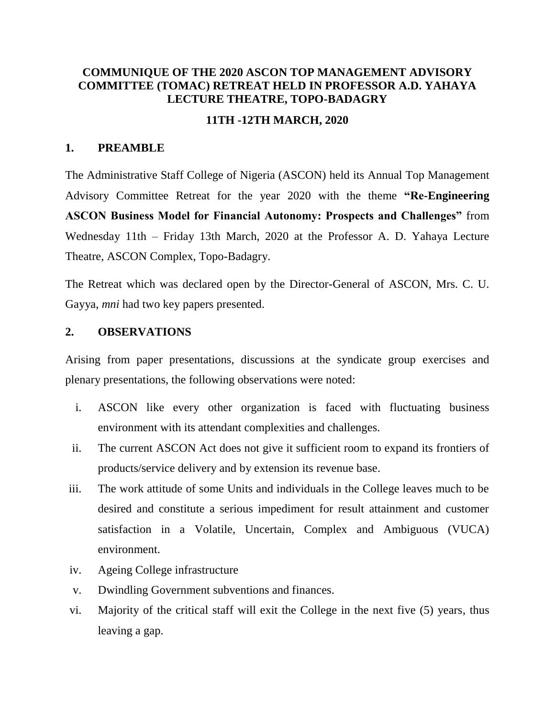# **COMMUNIQUE OF THE 2020 ASCON TOP MANAGEMENT ADVISORY COMMITTEE (TOMAC) RETREAT HELD IN PROFESSOR A.D. YAHAYA LECTURE THEATRE, TOPO-BADAGRY**

## **11TH -12TH MARCH, 2020**

### **1. PREAMBLE**

The Administrative Staff College of Nigeria (ASCON) held its Annual Top Management Advisory Committee Retreat for the year 2020 with the theme **"Re-Engineering ASCON Business Model for Financial Autonomy: Prospects and Challenges"** from Wednesday 11th – Friday 13th March, 2020 at the Professor A. D. Yahaya Lecture Theatre, ASCON Complex, Topo-Badagry.

The Retreat which was declared open by the Director-General of ASCON, Mrs. C. U. Gayya, *mni* had two key papers presented.

### **2. OBSERVATIONS**

Arising from paper presentations, discussions at the syndicate group exercises and plenary presentations, the following observations were noted:

- i. ASCON like every other organization is faced with fluctuating business environment with its attendant complexities and challenges.
- ii. The current ASCON Act does not give it sufficient room to expand its frontiers of products/service delivery and by extension its revenue base.
- iii. The work attitude of some Units and individuals in the College leaves much to be desired and constitute a serious impediment for result attainment and customer satisfaction in a Volatile, Uncertain, Complex and Ambiguous (VUCA) environment.
- iv. Ageing College infrastructure
- v. Dwindling Government subventions and finances.
- vi. Majority of the critical staff will exit the College in the next five (5) years, thus leaving a gap.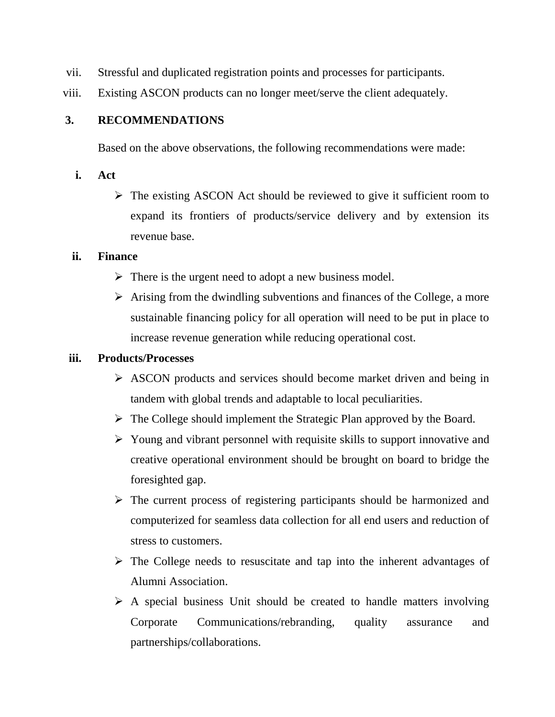- vii. Stressful and duplicated registration points and processes for participants.
- viii. Existing ASCON products can no longer meet/serve the client adequately.

## **3. RECOMMENDATIONS**

Based on the above observations, the following recommendations were made:

- **i. Act**
	- ➢ The existing ASCON Act should be reviewed to give it sufficient room to expand its frontiers of products/service delivery and by extension its revenue base.

### **ii. Finance**

- $\triangleright$  There is the urgent need to adopt a new business model.
- $\triangleright$  Arising from the dwindling subventions and finances of the College, a more sustainable financing policy for all operation will need to be put in place to increase revenue generation while reducing operational cost.

## **iii. Products/Processes**

- ➢ ASCON products and services should become market driven and being in tandem with global trends and adaptable to local peculiarities.
- ➢ The College should implement the Strategic Plan approved by the Board.
- ➢ Young and vibrant personnel with requisite skills to support innovative and creative operational environment should be brought on board to bridge the foresighted gap.
- ➢ The current process of registering participants should be harmonized and computerized for seamless data collection for all end users and reduction of stress to customers.
- ➢ The College needs to resuscitate and tap into the inherent advantages of Alumni Association.
- $\triangleright$  A special business Unit should be created to handle matters involving Corporate Communications/rebranding, quality assurance and partnerships/collaborations.